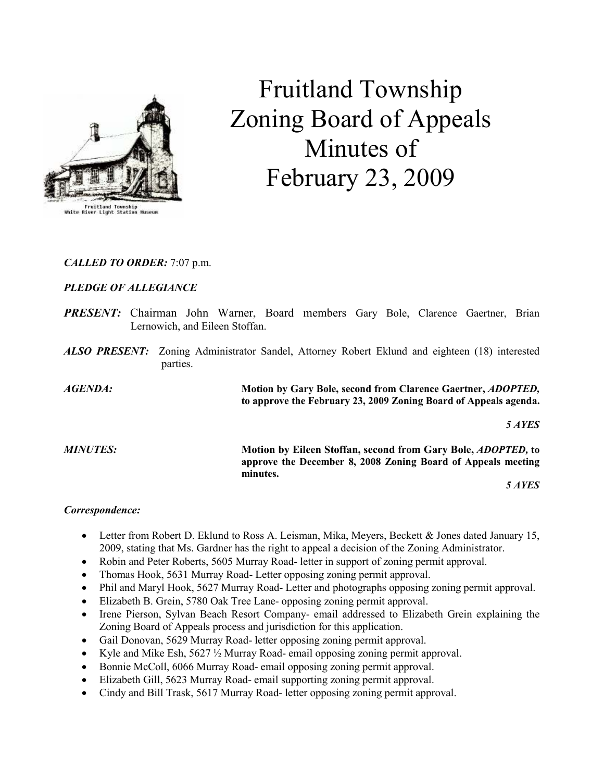

# Fruitland Township Zoning Board of Appeals Minutes of February 23, 2009

# CALLED TO ORDER: 7:07 p.m.

# PLEDGE OF ALLEGIANCE

- PRESENT: Chairman John Warner, Board members Gary Bole, Clarence Gaertner, Brian Lernowich, and Eileen Stoffan.
- ALSO PRESENT: Zoning Administrator Sandel, Attorney Robert Eklund and eighteen (18) interested parties.

AGENDA: Motion by Gary Bole, second from Clarence Gaertner, ADOPTED, to approve the February 23, 2009 Zoning Board of Appeals agenda.

5 AYES

MINUTES: Motion by Eileen Stoffan, second from Gary Bole, ADOPTED, to approve the December 8, 2008 Zoning Board of Appeals meeting minutes.

5 AYES

### Correspondence:

- Letter from Robert D. Eklund to Ross A. Leisman, Mika, Meyers, Beckett & Jones dated January 15, 2009, stating that Ms. Gardner has the right to appeal a decision of the Zoning Administrator.
- Robin and Peter Roberts, 5605 Murray Road- letter in support of zoning permit approval.
- Thomas Hook, 5631 Murray Road- Letter opposing zoning permit approval.
- Phil and Maryl Hook, 5627 Murray Road- Letter and photographs opposing zoning permit approval.
- Elizabeth B. Grein, 5780 Oak Tree Lane- opposing zoning permit approval.
- Irene Pierson, Sylvan Beach Resort Company- email addressed to Elizabeth Grein explaining the Zoning Board of Appeals process and jurisdiction for this application.
- Gail Donovan, 5629 Murray Road- letter opposing zoning permit approval.
- Kyle and Mike Esh, 5627 ½ Murray Road- email opposing zoning permit approval.
- Bonnie McColl, 6066 Murray Road- email opposing zoning permit approval.
- Elizabeth Gill, 5623 Murray Road- email supporting zoning permit approval.
- Cindy and Bill Trask, 5617 Murray Road- letter opposing zoning permit approval.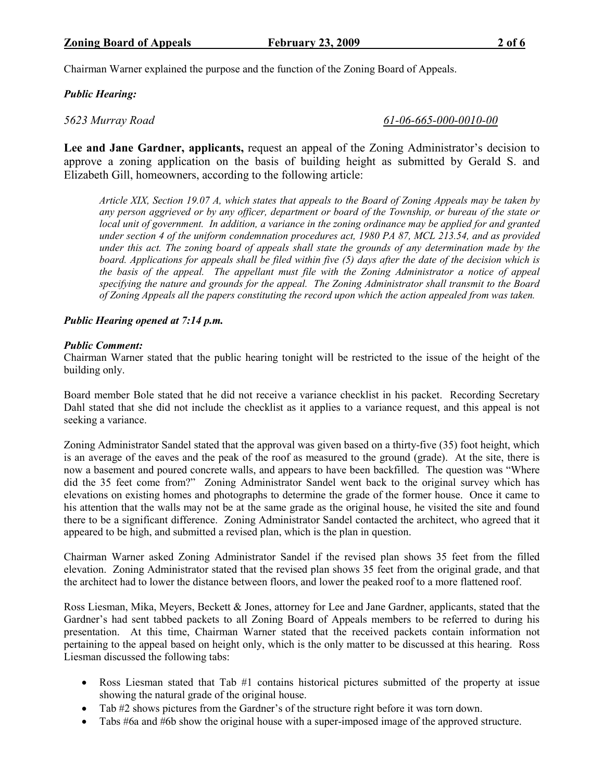Chairman Warner explained the purpose and the function of the Zoning Board of Appeals.

## Public Hearing:

5623 Murray Road 61-06-665-000-0010-00

Lee and Jane Gardner, applicants, request an appeal of the Zoning Administrator's decision to approve a zoning application on the basis of building height as submitted by Gerald S. and Elizabeth Gill, homeowners, according to the following article:

Article XIX, Section 19.07 A, which states that appeals to the Board of Zoning Appeals may be taken by any person aggrieved or by any officer, department or board of the Township, or bureau of the state or local unit of government. In addition, a variance in the zoning ordinance may be applied for and granted under section 4 of the uniform condemnation procedures act, 1980 PA 87, MCL 213.54, and as provided under this act. The zoning board of appeals shall state the grounds of any determination made by the board. Applications for appeals shall be filed within five (5) days after the date of the decision which is the basis of the appeal. The appellant must file with the Zoning Administrator a notice of appeal specifying the nature and grounds for the appeal. The Zoning Administrator shall transmit to the Board of Zoning Appeals all the papers constituting the record upon which the action appealed from was taken.

### Public Hearing opened at 7:14 p.m.

#### Public Comment:

Chairman Warner stated that the public hearing tonight will be restricted to the issue of the height of the building only.

Board member Bole stated that he did not receive a variance checklist in his packet. Recording Secretary Dahl stated that she did not include the checklist as it applies to a variance request, and this appeal is not seeking a variance.

Zoning Administrator Sandel stated that the approval was given based on a thirty-five (35) foot height, which is an average of the eaves and the peak of the roof as measured to the ground (grade). At the site, there is now a basement and poured concrete walls, and appears to have been backfilled. The question was "Where did the 35 feet come from?" Zoning Administrator Sandel went back to the original survey which has elevations on existing homes and photographs to determine the grade of the former house. Once it came to his attention that the walls may not be at the same grade as the original house, he visited the site and found there to be a significant difference. Zoning Administrator Sandel contacted the architect, who agreed that it appeared to be high, and submitted a revised plan, which is the plan in question.

Chairman Warner asked Zoning Administrator Sandel if the revised plan shows 35 feet from the filled elevation. Zoning Administrator stated that the revised plan shows 35 feet from the original grade, and that the architect had to lower the distance between floors, and lower the peaked roof to a more flattened roof.

Ross Liesman, Mika, Meyers, Beckett & Jones, attorney for Lee and Jane Gardner, applicants, stated that the Gardner's had sent tabbed packets to all Zoning Board of Appeals members to be referred to during his presentation. At this time, Chairman Warner stated that the received packets contain information not pertaining to the appeal based on height only, which is the only matter to be discussed at this hearing. Ross Liesman discussed the following tabs:

- Ross Liesman stated that Tab #1 contains historical pictures submitted of the property at issue showing the natural grade of the original house.
- Tab #2 shows pictures from the Gardner's of the structure right before it was torn down.
- Tabs #6a and #6b show the original house with a super-imposed image of the approved structure.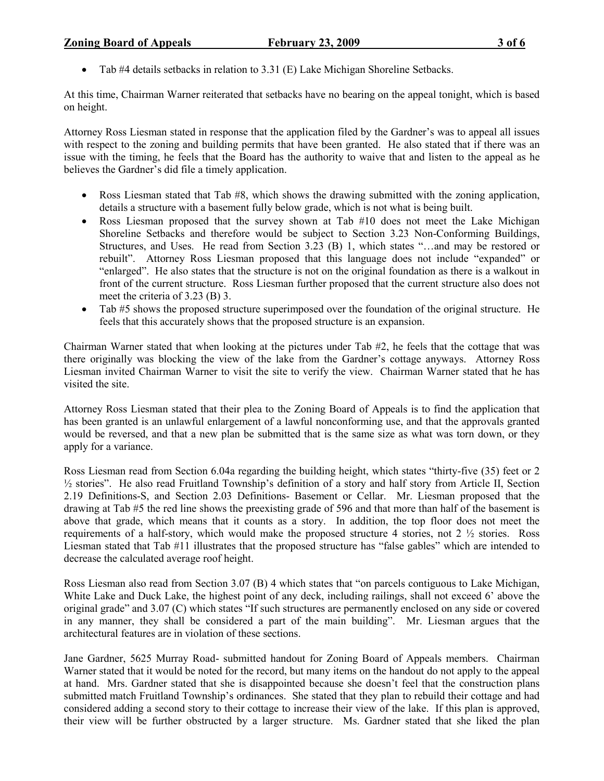### **Zoning Board of Appeals** February 23, 2009 3 of 6

• Tab #4 details setbacks in relation to 3.31 (E) Lake Michigan Shoreline Setbacks.

At this time, Chairman Warner reiterated that setbacks have no bearing on the appeal tonight, which is based on height.

Attorney Ross Liesman stated in response that the application filed by the Gardner's was to appeal all issues with respect to the zoning and building permits that have been granted. He also stated that if there was an issue with the timing, he feels that the Board has the authority to waive that and listen to the appeal as he believes the Gardner's did file a timely application.

- Ross Liesman stated that Tab #8, which shows the drawing submitted with the zoning application, details a structure with a basement fully below grade, which is not what is being built.
- Ross Liesman proposed that the survey shown at Tab #10 does not meet the Lake Michigan Shoreline Setbacks and therefore would be subject to Section 3.23 Non-Conforming Buildings, Structures, and Uses. He read from Section 3.23 (B) 1, which states "…and may be restored or rebuilt". Attorney Ross Liesman proposed that this language does not include "expanded" or "enlarged". He also states that the structure is not on the original foundation as there is a walkout in front of the current structure. Ross Liesman further proposed that the current structure also does not meet the criteria of 3.23 (B) 3.
- Tab #5 shows the proposed structure superimposed over the foundation of the original structure. He feels that this accurately shows that the proposed structure is an expansion.

Chairman Warner stated that when looking at the pictures under Tab #2, he feels that the cottage that was there originally was blocking the view of the lake from the Gardner's cottage anyways. Attorney Ross Liesman invited Chairman Warner to visit the site to verify the view. Chairman Warner stated that he has visited the site.

Attorney Ross Liesman stated that their plea to the Zoning Board of Appeals is to find the application that has been granted is an unlawful enlargement of a lawful nonconforming use, and that the approvals granted would be reversed, and that a new plan be submitted that is the same size as what was torn down, or they apply for a variance.

Ross Liesman read from Section 6.04a regarding the building height, which states "thirty-five (35) feet or 2 <sup>1/2</sup> stories". He also read Fruitland Township's definition of a story and half story from Article II, Section 2.19 Definitions-S, and Section 2.03 Definitions- Basement or Cellar. Mr. Liesman proposed that the drawing at Tab #5 the red line shows the preexisting grade of 596 and that more than half of the basement is above that grade, which means that it counts as a story. In addition, the top floor does not meet the requirements of a half-story, which would make the proposed structure 4 stories, not  $2\frac{1}{2}$  stories. Ross Liesman stated that Tab #11 illustrates that the proposed structure has "false gables" which are intended to decrease the calculated average roof height.

Ross Liesman also read from Section 3.07 (B) 4 which states that "on parcels contiguous to Lake Michigan, White Lake and Duck Lake, the highest point of any deck, including railings, shall not exceed 6' above the original grade" and 3.07 (C) which states "If such structures are permanently enclosed on any side or covered in any manner, they shall be considered a part of the main building". Mr. Liesman argues that the architectural features are in violation of these sections.

Jane Gardner, 5625 Murray Road- submitted handout for Zoning Board of Appeals members. Chairman Warner stated that it would be noted for the record, but many items on the handout do not apply to the appeal at hand. Mrs. Gardner stated that she is disappointed because she doesn't feel that the construction plans submitted match Fruitland Township's ordinances. She stated that they plan to rebuild their cottage and had considered adding a second story to their cottage to increase their view of the lake. If this plan is approved, their view will be further obstructed by a larger structure. Ms. Gardner stated that she liked the plan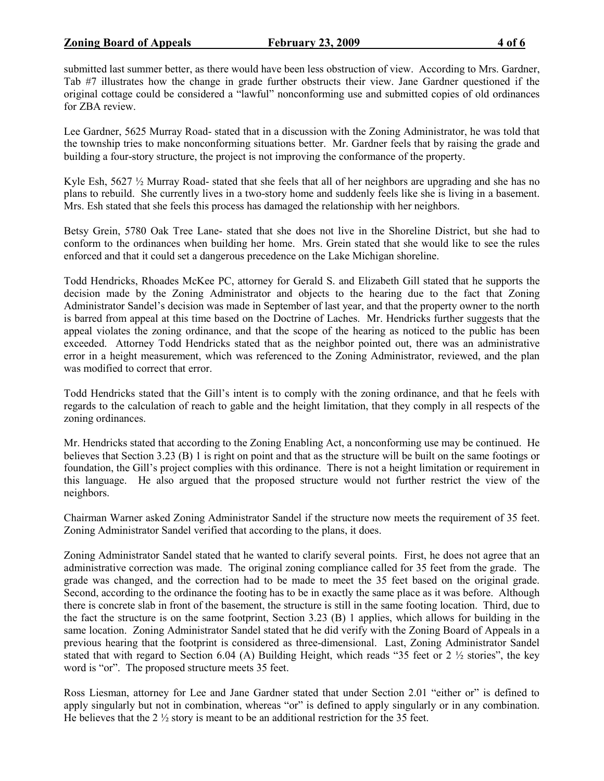submitted last summer better, as there would have been less obstruction of view. According to Mrs. Gardner, Tab #7 illustrates how the change in grade further obstructs their view. Jane Gardner questioned if the original cottage could be considered a "lawful" nonconforming use and submitted copies of old ordinances for ZBA review.

Lee Gardner, 5625 Murray Road- stated that in a discussion with the Zoning Administrator, he was told that the township tries to make nonconforming situations better. Mr. Gardner feels that by raising the grade and building a four-story structure, the project is not improving the conformance of the property.

Kyle Esh, 5627  $\frac{1}{2}$  Murray Road- stated that she feels that all of her neighbors are upgrading and she has no plans to rebuild. She currently lives in a two-story home and suddenly feels like she is living in a basement. Mrs. Esh stated that she feels this process has damaged the relationship with her neighbors.

Betsy Grein, 5780 Oak Tree Lane- stated that she does not live in the Shoreline District, but she had to conform to the ordinances when building her home. Mrs. Grein stated that she would like to see the rules enforced and that it could set a dangerous precedence on the Lake Michigan shoreline.

Todd Hendricks, Rhoades McKee PC, attorney for Gerald S. and Elizabeth Gill stated that he supports the decision made by the Zoning Administrator and objects to the hearing due to the fact that Zoning Administrator Sandel's decision was made in September of last year, and that the property owner to the north is barred from appeal at this time based on the Doctrine of Laches. Mr. Hendricks further suggests that the appeal violates the zoning ordinance, and that the scope of the hearing as noticed to the public has been exceeded. Attorney Todd Hendricks stated that as the neighbor pointed out, there was an administrative error in a height measurement, which was referenced to the Zoning Administrator, reviewed, and the plan was modified to correct that error.

Todd Hendricks stated that the Gill's intent is to comply with the zoning ordinance, and that he feels with regards to the calculation of reach to gable and the height limitation, that they comply in all respects of the zoning ordinances.

Mr. Hendricks stated that according to the Zoning Enabling Act, a nonconforming use may be continued. He believes that Section 3.23 (B) 1 is right on point and that as the structure will be built on the same footings or foundation, the Gill's project complies with this ordinance. There is not a height limitation or requirement in this language. He also argued that the proposed structure would not further restrict the view of the neighbors.

Chairman Warner asked Zoning Administrator Sandel if the structure now meets the requirement of 35 feet. Zoning Administrator Sandel verified that according to the plans, it does.

Zoning Administrator Sandel stated that he wanted to clarify several points. First, he does not agree that an administrative correction was made. The original zoning compliance called for 35 feet from the grade. The grade was changed, and the correction had to be made to meet the 35 feet based on the original grade. Second, according to the ordinance the footing has to be in exactly the same place as it was before. Although there is concrete slab in front of the basement, the structure is still in the same footing location. Third, due to the fact the structure is on the same footprint, Section 3.23 (B) 1 applies, which allows for building in the same location. Zoning Administrator Sandel stated that he did verify with the Zoning Board of Appeals in a previous hearing that the footprint is considered as three-dimensional. Last, Zoning Administrator Sandel stated that with regard to Section 6.04 (A) Building Height, which reads "35 feet or 2 ½ stories", the key word is "or". The proposed structure meets 35 feet.

Ross Liesman, attorney for Lee and Jane Gardner stated that under Section 2.01 "either or" is defined to apply singularly but not in combination, whereas "or" is defined to apply singularly or in any combination. He believes that the  $2\frac{1}{2}$  story is meant to be an additional restriction for the 35 feet.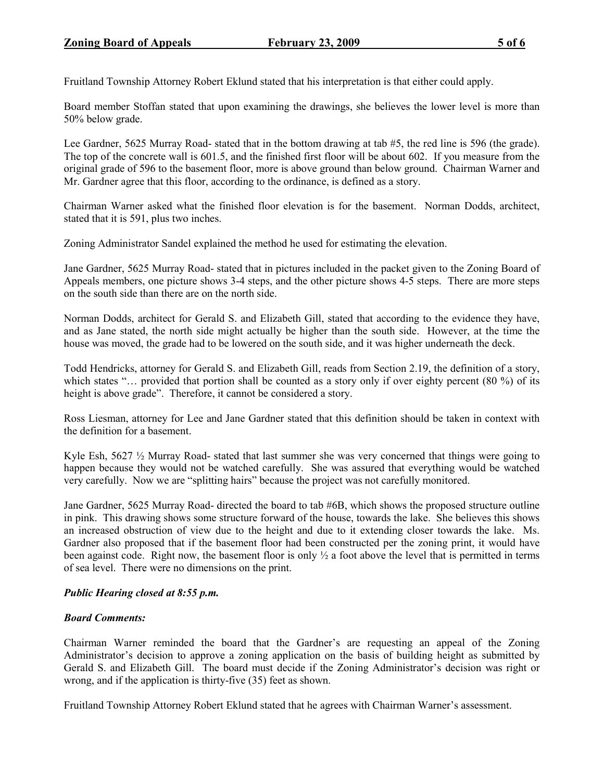Fruitland Township Attorney Robert Eklund stated that his interpretation is that either could apply.

Board member Stoffan stated that upon examining the drawings, she believes the lower level is more than 50% below grade.

Lee Gardner, 5625 Murray Road- stated that in the bottom drawing at tab #5, the red line is 596 (the grade). The top of the concrete wall is 601.5, and the finished first floor will be about 602. If you measure from the original grade of 596 to the basement floor, more is above ground than below ground. Chairman Warner and Mr. Gardner agree that this floor, according to the ordinance, is defined as a story.

Chairman Warner asked what the finished floor elevation is for the basement. Norman Dodds, architect, stated that it is 591, plus two inches.

Zoning Administrator Sandel explained the method he used for estimating the elevation.

Jane Gardner, 5625 Murray Road- stated that in pictures included in the packet given to the Zoning Board of Appeals members, one picture shows 3-4 steps, and the other picture shows 4-5 steps. There are more steps on the south side than there are on the north side.

Norman Dodds, architect for Gerald S. and Elizabeth Gill, stated that according to the evidence they have, and as Jane stated, the north side might actually be higher than the south side. However, at the time the house was moved, the grade had to be lowered on the south side, and it was higher underneath the deck.

Todd Hendricks, attorney for Gerald S. and Elizabeth Gill, reads from Section 2.19, the definition of a story, which states "... provided that portion shall be counted as a story only if over eighty percent (80 %) of its height is above grade". Therefore, it cannot be considered a story.

Ross Liesman, attorney for Lee and Jane Gardner stated that this definition should be taken in context with the definition for a basement.

Kyle Esh, 5627 ½ Murray Road- stated that last summer she was very concerned that things were going to happen because they would not be watched carefully. She was assured that everything would be watched very carefully. Now we are "splitting hairs" because the project was not carefully monitored.

Jane Gardner, 5625 Murray Road- directed the board to tab #6B, which shows the proposed structure outline in pink. This drawing shows some structure forward of the house, towards the lake. She believes this shows an increased obstruction of view due to the height and due to it extending closer towards the lake. Ms. Gardner also proposed that if the basement floor had been constructed per the zoning print, it would have been against code. Right now, the basement floor is only  $\frac{1}{2}$  a foot above the level that is permitted in terms of sea level. There were no dimensions on the print.

#### Public Hearing closed at 8:55 p.m.

#### Board Comments:

Chairman Warner reminded the board that the Gardner's are requesting an appeal of the Zoning Administrator's decision to approve a zoning application on the basis of building height as submitted by Gerald S. and Elizabeth Gill. The board must decide if the Zoning Administrator's decision was right or wrong, and if the application is thirty-five (35) feet as shown.

Fruitland Township Attorney Robert Eklund stated that he agrees with Chairman Warner's assessment.